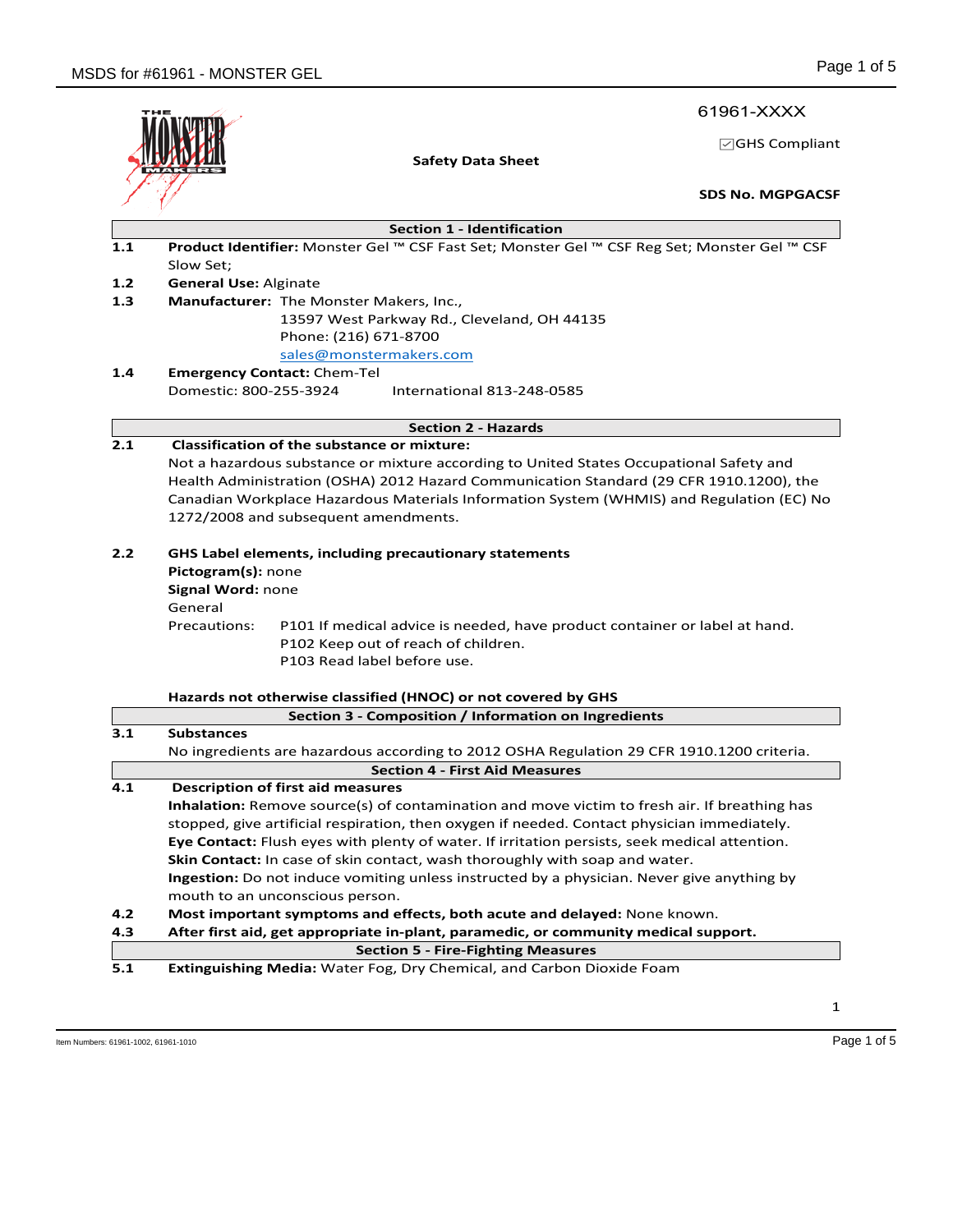61961-XXXX

☑GHS Compliant

| н<br>ш<br>Е<br>÷ |
|------------------|
|                  |

**Safety Data Sheet**

**SDS No. MGPGACSF**

| <b>Section 1 - Identification</b> |  |
|-----------------------------------|--|
|-----------------------------------|--|

- **1.1 Product Identifier:** Monster Gel ™ CSF Fast Set; Monster Gel ™ CSF Reg Set; Monster Gel ™ CSF Slow Set;
- **1.2 General Use:** Alginate
- **1.3 Manufacturer:** The Monster Makers, Inc., 13597 West Parkway Rd., Cleveland, OH 44135 Phone: (216) 671-8700 sales@monstermakers.com
- **1.4 Emergency Contact:** Chem-Tel Domestic: 800-255-3924 International 813-248-0585

## **Section 2 - Hazards**

# **2.1 Classification of the substance or mixture:**

Not a hazardous substance or mixture according to United States Occupational Safety and Health Administration (OSHA) 2012 Hazard Communication Standard (29 CFR 1910.1200), the Canadian Workplace Hazardous Materials Information System (WHMIS) and Regulation (EC) No 1272/2008 and subsequent amendments.

### **2.2 GHS Label elements, including precautionary statements**

**Pictogram(s):** none **Signal Word:** none General Precautions: P101 If medical advice is needed, have product container or label at hand. P102 Keep out of reach of children. P103 Read label before use.

### **Hazards not otherwise classified (HNOC) or not covered by GHS**

|     | Section 3 - Composition / Information on Ingredients                                                 |  |  |  |
|-----|------------------------------------------------------------------------------------------------------|--|--|--|
| 3.1 | <b>Substances</b>                                                                                    |  |  |  |
|     | No ingredients are hazardous according to 2012 OSHA Regulation 29 CFR 1910.1200 criteria.            |  |  |  |
|     | <b>Section 4 - First Aid Measures</b>                                                                |  |  |  |
| 4.1 | Description of first aid measures                                                                    |  |  |  |
|     | Inhalation: Remove source(s) of contamination and move victim to fresh air. If breathing has         |  |  |  |
|     | stopped, give artificial respiration, then oxygen if needed. Contact physician immediately.          |  |  |  |
|     | <b>Eye Contact:</b> Flush eyes with plenty of water. If irritation persists, seek medical attention. |  |  |  |
|     | Skin Contact: In case of skin contact, wash thoroughly with soap and water.                          |  |  |  |
|     | <b>Ingestion:</b> Do not induce vomiting unless instructed by a physician. Never give anything by    |  |  |  |
|     | mouth to an unconscious person.                                                                      |  |  |  |
| 4.2 | Most important symptoms and effects, both acute and delayed: None known.                             |  |  |  |
| 4.3 | After first aid, get appropriate in-plant, paramedic, or community medical support.                  |  |  |  |
|     | <b>Section 5 - Fire-Fighting Measures</b>                                                            |  |  |  |
| 5.1 | <b>Extinguishing Media: Water Fog, Dry Chemical, and Carbon Dioxide Foam</b>                         |  |  |  |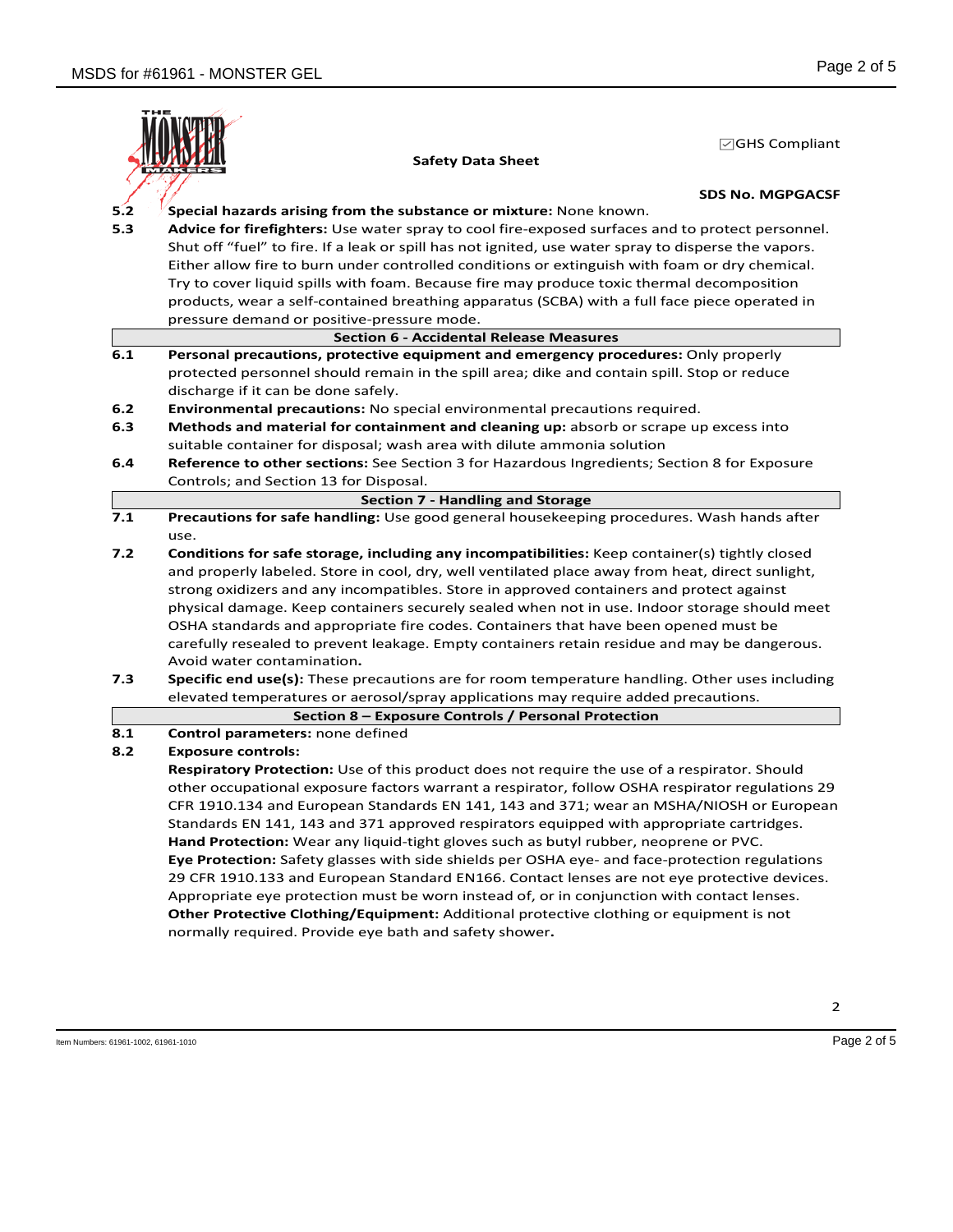

**SDS No. MGPGACSF**

☑GHS Compliant

- **5.2 Special hazards arising from the substance or mixture:** None known.
- **5.3 Advice for firefighters:** Use water spray to cool fire-exposed surfaces and to protect personnel. Shut off "fuel" to fire. If a leak or spill has not ignited, use water spray to disperse the vapors. Either allow fire to burn under controlled conditions or extinguish with foam or dry chemical. Try to cover liquid spills with foam. Because fire may produce toxic thermal decomposition products, wear a self-contained breathing apparatus (SCBA) with a full face piece operated in pressure demand or positive-pressure mode.
	- **Section 6 - Accidental Release Measures**
- **6.1 Personal precautions, protective equipment and emergency procedures:** Only properly protected personnel should remain in the spill area; dike and contain spill. Stop or reduce discharge if it can be done safely.
- **6.2 Environmental precautions:** No special environmental precautions required.
- **6.3 Methods and material for containment and cleaning up:** absorb or scrape up excess into suitable container for disposal; wash area with dilute ammonia solution
- **6.4 Reference to other sections:** See Section 3 for Hazardous Ingredients; Section 8 for Exposure Controls; and Section 13 for Disposal.
	- **Section 7 - Handling and Storage**
- **7.1 Precautions for safe handling:** Use good general housekeeping procedures. Wash hands after use.
- **7.2 Conditions for safe storage, including any incompatibilities:** Keep container(s) tightly closed and properly labeled. Store in cool, dry, well ventilated place away from heat, direct sunlight, strong oxidizers and any incompatibles. Store in approved containers and protect against physical damage. Keep containers securely sealed when not in use. Indoor storage should meet OSHA standards and appropriate fire codes. Containers that have been opened must be carefully resealed to prevent leakage. Empty containers retain residue and may be dangerous. Avoid water contamination**.**
- **7.3 Specific end use(s):** These precautions are for room temperature handling. Other uses including elevated temperatures or aerosol/spray applications may require added precautions.

#### **Section 8 – Exposure Controls / Personal Protection**

# **8.1 Control parameters:** none defined

#### **8.2 Exposure controls:**

**Respiratory Protection:** Use of this product does not require the use of a respirator. Should other occupational exposure factors warrant a respirator, follow OSHA respirator regulations 29 CFR 1910.134 and European Standards EN 141, 143 and 371; wear an MSHA/NIOSH or European Standards EN 141, 143 and 371 approved respirators equipped with appropriate cartridges. **Hand Protection:** Wear any liquid-tight gloves such as butyl rubber, neoprene or PVC. **Eye Protection:** Safety glasses with side shields per OSHA eye- and face-protection regulations 29 CFR 1910.133 and European Standard EN166. Contact lenses are not eye protective devices. Appropriate eye protection must be worn instead of, or in conjunction with contact lenses. **Other Protective Clothing/Equipment:** Additional protective clothing or equipment is not normally required. Provide eye bath and safety shower**.**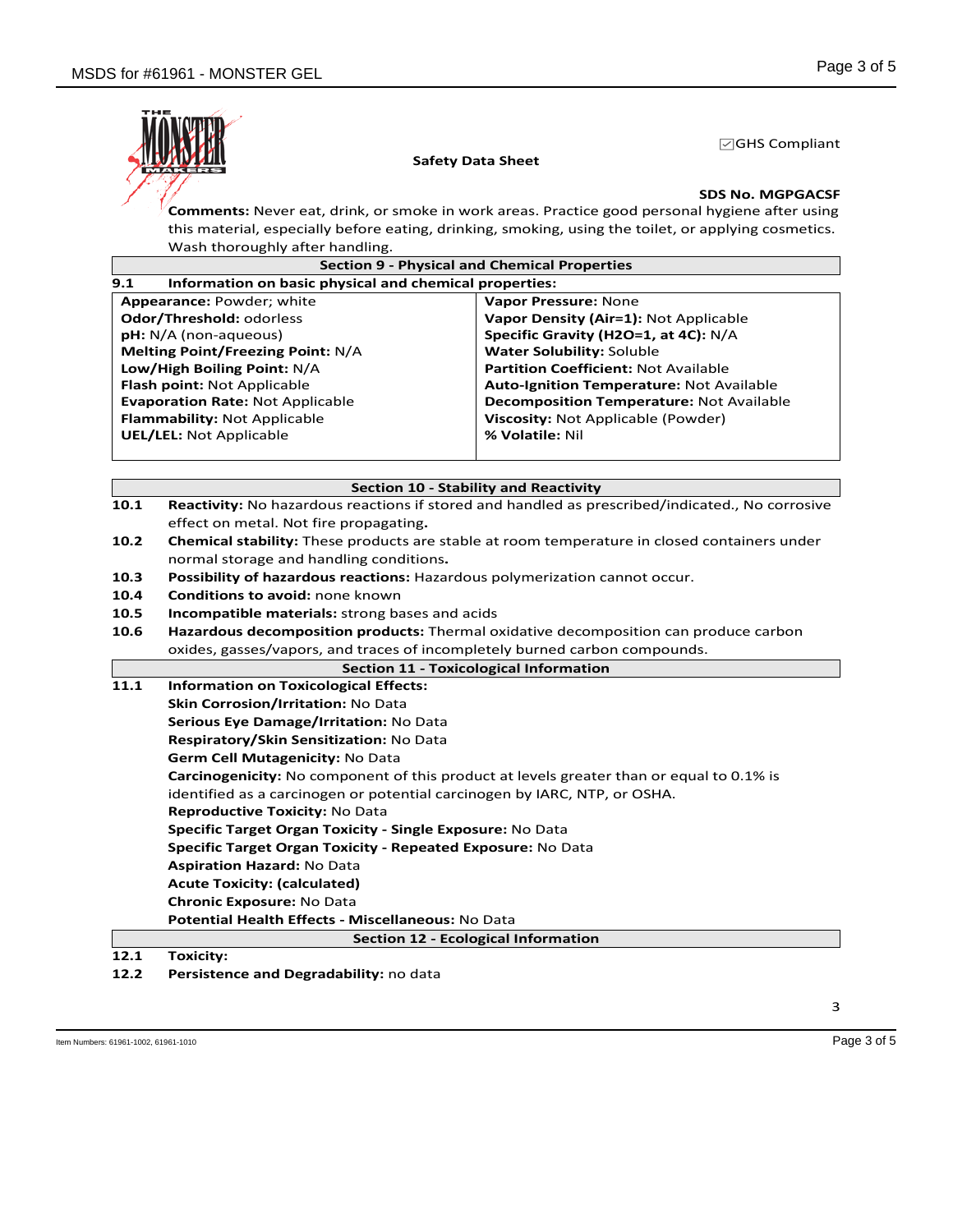

## **SDS No. MGPGACSF**

☑GHS Compliant

**Comments:** Never eat, drink, or smoke in work areas. Practice good personal hygiene after using this material, especially before eating, drinking, smoking, using the toilet, or applying cosmetics. Wash thoroughly after handling.

|      | <b>Section 9 - Physical and Chemical Properties</b>                                             |                                                                                                 |  |  |  |
|------|-------------------------------------------------------------------------------------------------|-------------------------------------------------------------------------------------------------|--|--|--|
| 9.1  | Information on basic physical and chemical properties:                                          |                                                                                                 |  |  |  |
|      | <b>Appearance: Powder: white</b><br>Vapor Pressure: None                                        |                                                                                                 |  |  |  |
|      | Odor/Threshold: odorless                                                                        | Vapor Density (Air=1): Not Applicable                                                           |  |  |  |
|      | $pH: N/A$ (non-aqueous)                                                                         | Specific Gravity (H2O=1, at 4C): N/A                                                            |  |  |  |
|      | <b>Melting Point/Freezing Point: N/A</b><br><b>Water Solubility: Soluble</b>                    |                                                                                                 |  |  |  |
|      | Low/High Boiling Point: N/A<br><b>Partition Coefficient: Not Available</b>                      |                                                                                                 |  |  |  |
|      | Flash point: Not Applicable                                                                     | <b>Auto-Ignition Temperature: Not Available</b>                                                 |  |  |  |
|      | <b>Evaporation Rate: Not Applicable</b>                                                         | <b>Decomposition Temperature: Not Available</b>                                                 |  |  |  |
|      | Flammability: Not Applicable                                                                    | Viscosity: Not Applicable (Powder)                                                              |  |  |  |
|      | <b>UEL/LEL: Not Applicable</b>                                                                  | % Volatile: Nil                                                                                 |  |  |  |
|      |                                                                                                 |                                                                                                 |  |  |  |
|      |                                                                                                 |                                                                                                 |  |  |  |
|      | <b>Section 10 - Stability and Reactivity</b>                                                    |                                                                                                 |  |  |  |
| 10.1 |                                                                                                 | Reactivity: No hazardous reactions if stored and handled as prescribed/indicated., No corrosive |  |  |  |
|      | effect on metal. Not fire propagating.                                                          |                                                                                                 |  |  |  |
| 10.2 | Chemical stability: These products are stable at room temperature in closed containers under    |                                                                                                 |  |  |  |
|      | normal storage and handling conditions.                                                         |                                                                                                 |  |  |  |
| 10.3 | Possibility of hazardous reactions: Hazardous polymerization cannot occur.                      |                                                                                                 |  |  |  |
| 10.4 | Conditions to avoid: none known                                                                 |                                                                                                 |  |  |  |
| 10.5 | Incompatible materials: strong bases and acids                                                  |                                                                                                 |  |  |  |
| 10.6 | Hazardous decomposition products: Thermal oxidative decomposition can produce carbon            |                                                                                                 |  |  |  |
|      | oxides, gasses/vapors, and traces of incompletely burned carbon compounds.                      |                                                                                                 |  |  |  |
|      |                                                                                                 | <b>Section 11 - Toxicological Information</b>                                                   |  |  |  |
| 11.1 | <b>Information on Toxicological Effects:</b>                                                    |                                                                                                 |  |  |  |
|      | Skin Corrosion/Irritation: No Data                                                              |                                                                                                 |  |  |  |
|      | Serious Eye Damage/Irritation: No Data                                                          |                                                                                                 |  |  |  |
|      | Respiratory/Skin Sensitization: No Data                                                         |                                                                                                 |  |  |  |
|      | Germ Cell Mutagenicity: No Data                                                                 |                                                                                                 |  |  |  |
|      | <b>Carcinogenicity:</b> No component of this product at levels greater than or equal to 0.1% is |                                                                                                 |  |  |  |
|      | identified as a carcinogen or potential carcinogen by IARC, NTP, or OSHA.                       |                                                                                                 |  |  |  |
|      | Reproductive Toxicity: No Data                                                                  |                                                                                                 |  |  |  |
|      | Specific Target Organ Toxicity - Single Exposure: No Data                                       |                                                                                                 |  |  |  |
|      | Specific Target Organ Toxicity - Repeated Exposure: No Data                                     |                                                                                                 |  |  |  |
|      | <b>Aspiration Hazard: No Data</b>                                                               |                                                                                                 |  |  |  |
|      | <b>Acute Toxicity: (calculated)</b>                                                             |                                                                                                 |  |  |  |
|      | <b>Chronic Exposure: No Data</b>                                                                |                                                                                                 |  |  |  |
|      | Potential Health Effects - Miscellaneous: No Data                                               |                                                                                                 |  |  |  |
|      |                                                                                                 |                                                                                                 |  |  |  |
|      | Section 12 - Ecological Information<br>÷.<br>$\cdot$                                            |                                                                                                 |  |  |  |

**12.1 Toxicity:**

**12.2 Persistence and Degradability:** no data

3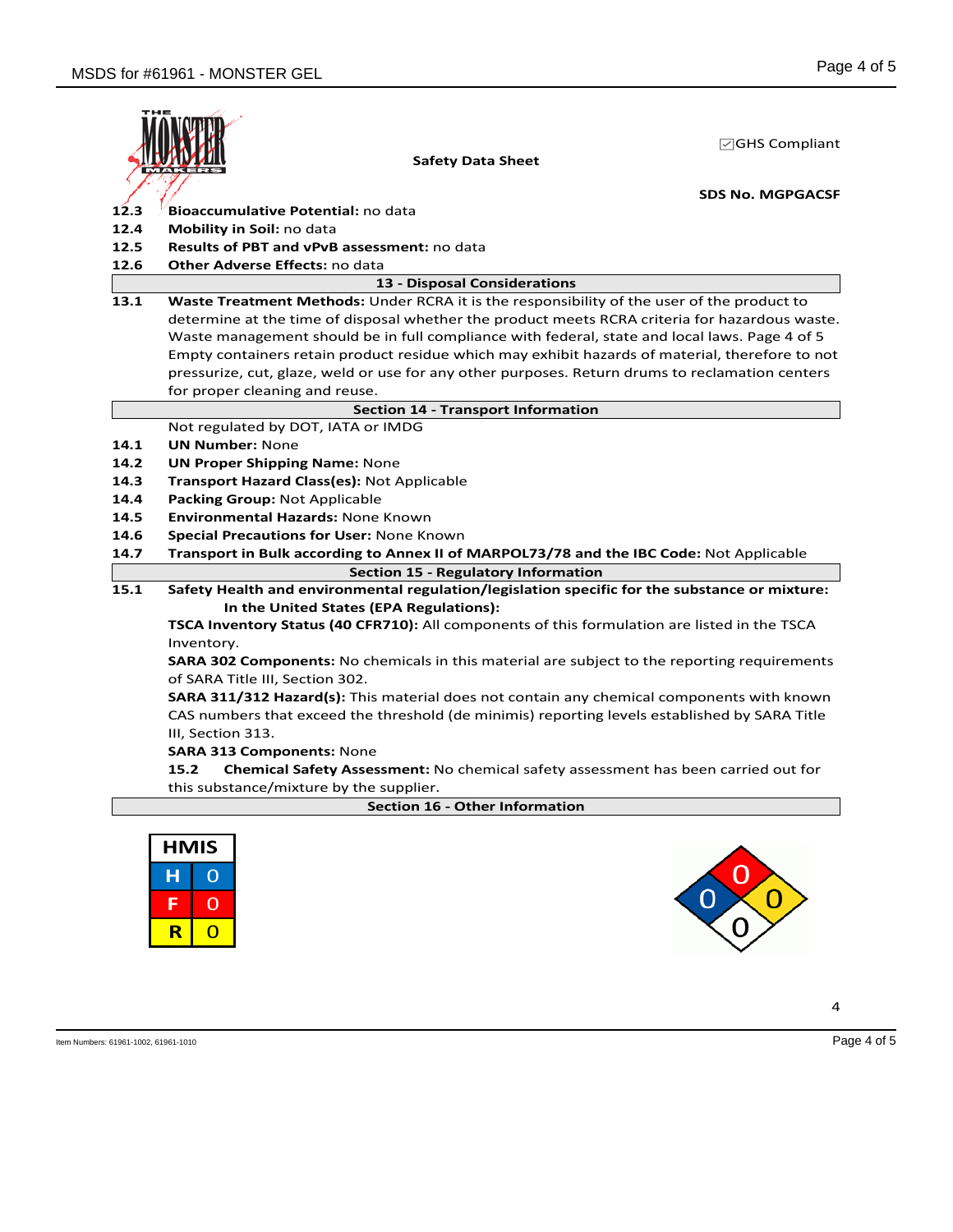

☑GHS Compliant

**SDS No. MGPGACSF**

- 12.3 Bioaccumulative Potential: no data
- **12.4 Mobility in Soil:** no data
- **12.5 Results of PBT and vPvB assessment:** no data
- **12.6 Other Adverse Effects:** no data

|  | 13 - Disposal Considerations |  |
|--|------------------------------|--|
|  |                              |  |

**13.1 Waste Treatment Methods:** Under RCRA it is the responsibility of the user of the product to determine at the time of disposal whether the product meets RCRA criteria for hazardous waste. Waste management should be in full compliance with federal, state and local laws. Page 4 of 5 Empty containers retain product residue which may exhibit hazards of material, therefore to not pressurize, cut, glaze, weld or use for any other purposes. Return drums to reclamation centers for proper cleaning and reuse.

### **Section 14 - Transport Information**

## Not regulated by DOT, IATA or IMDG

- **14.1 UN Number:** None
- **14.2 UN Proper Shipping Name:** None
- **14.3 Transport Hazard Class(es):** Not Applicable
- **14.4 Packing Group:** Not Applicable
- **14.5 Environmental Hazards:** None Known
- **14.6 Special Precautions for User:** None Known
- **14.7 Transport in Bulk according to Annex II of MARPOL73/78 and the IBC Code:** Not Applicable **Section 15 - Regulatory Information**
- **15.1 Safety Health and environmental regulation/legislation specific for the substance or mixture: In the United States (EPA Regulations):**

**TSCA Inventory Status (40 CFR710):** All components of this formulation are listed in the TSCA Inventory.

**SARA 302 Components:** No chemicals in this material are subject to the reporting requirements of SARA Title III, Section 302.

**SARA 311/312 Hazard(s):** This material does not contain any chemical components with known CAS numbers that exceed the threshold (de minimis) reporting levels established by SARA Title III, Section 313.

### **SARA 313 Components:** None

**15.2 Chemical Safety Assessment:** No chemical safety assessment has been carried out for this substance/mixture by the supplier.

| <b>Section 16 - Other Information</b> |  |
|---------------------------------------|--|
|---------------------------------------|--|

| <b>HMIS</b> |  |  |
|-------------|--|--|
| н           |  |  |
| Е           |  |  |
| R           |  |  |